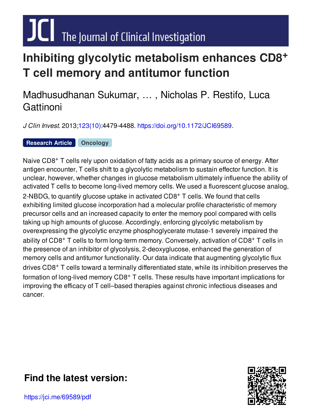# $JCl$  The Journal of Clinical Investigation

## **Inhibiting glycolytic metabolism enhances CD8 + T cell memory and antitumor function**

## Madhusudhanan Sukumar, … , Nicholas P. Restifo, Luca **Gattinoni**

*J Clin Invest.* 2013[;123\(10\)](http://www.jci.org/123/10?utm_campaign=cover-page&utm_medium=pdf&utm_source=content):4479-4488. [https://doi.org/10.1172/JCI69589.](https://doi.org/10.1172/JCI69589)

**[Research](http://www.jci.org/tags/51?utm_campaign=cover-page&utm_medium=pdf&utm_source=content) Article [Oncology](http://www.jci.org/tags/33?utm_campaign=cover-page&utm_medium=pdf&utm_source=content)**

Naive CD8<sup>+</sup> T cells rely upon oxidation of fatty acids as a primary source of energy. After antigen encounter, T cells shift to a glycolytic metabolism to sustain effector function. It is unclear, however, whether changes in glucose metabolism ultimately influence the ability of activated T cells to become long-lived memory cells. We used a fluorescent glucose analog, 2-NBDG, to quantify glucose uptake in activated CD8<sup>+</sup> T cells. We found that cells exhibiting limited glucose incorporation had a molecular profile characteristic of memory precursor cells and an increased capacity to enter the memory pool compared with cells taking up high amounts of glucose. Accordingly, enforcing glycolytic metabolism by overexpressing the glycolytic enzyme phosphoglycerate mutase-1 severely impaired the ability of CD8<sup>+</sup> T cells to form long-term memory. Conversely, activation of CD8<sup>+</sup> T cells in the presence of an inhibitor of glycolysis, 2-deoxyglucose, enhanced the generation of memory cells and antitumor functionality. Our data indicate that augmenting glycolytic flux drives CD8<sup>+</sup> T cells toward a terminally differentiated state, while its inhibition preserves the formation of long-lived memory CD8<sup>+</sup> T cells. These results have important implications for improving the efficacy of T cell–based therapies against chronic infectious diseases and cancer.

## **Find the [latest](https://jci.me/69589/pdf) version:**



https://jci.me/69589/pdf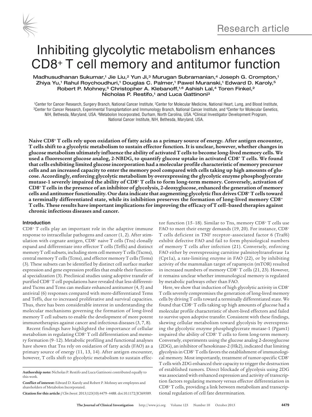

## Inhibiting glycolytic metabolism enhances CD8+ T cell memory and antitumor function

Madhusudhanan Sukumar,<sup>1</sup> Jie Liu,<sup>2</sup> Yun Ji,<sup>3</sup> Murugan Subramanian,<sup>4</sup> Joseph G. Crompton,<sup>1</sup> Zhiya Yu,<sup>1</sup> Rahul Roychoudhuri,<sup>1</sup> Douglas C. Palmer,<sup>1</sup> Pawel Muranski,<sup>1</sup> Edward D. Karoly,<sup>5</sup> Robert P. Mohney,<sup>5</sup> Christopher A. Klebanoff,<sup>1,6</sup> Ashish Lal,<sup>4</sup> Toren Finkel,<sup>2</sup> Nicholas P. Restifo,<sup>1</sup> and Luca Gattinoni<sup>3</sup>

<sup>1</sup>Center for Cancer Research, Surgery Branch, National Cancer Institute, <sup>2</sup>Center for Molecular Medicine, National Heart, Lung, and Blood Institute,<br><sup>3</sup>Center for Cancer Research, Experimental Transplantation and Immunol NIH, Bethesda, Maryland, USA. 5Metabolon Incorporated, Durham, North Carolina, USA. 6Clinical Investigator Development Program, National Cancer Institute, NIH, Bethesda, Maryland, USA.

**Naive CD8+ T cells rely upon oxidation of fatty acids as a primary source of energy. After antigen encounter, T cells shift to a glycolytic metabolism to sustain effector function. It is unclear, however, whether changes in glucose metabolism ultimately influence the ability of activated T cells to become long-lived memory cells. We used a fluorescent glucose analog, 2-NBDG, to quantify glucose uptake in activated CD8+ T cells. We found that cells exhibiting limited glucose incorporation had a molecular profile characteristic of memory precursor cells and an increased capacity to enter the memory pool compared with cells taking up high amounts of glucose. Accordingly, enforcing glycolytic metabolism by overexpressing the glycolytic enzyme phosphoglycerate mutase-1 severely impaired the ability of CD8+ T cells to form long-term memory. Conversely, activation of CD8+ T cells in the presence of an inhibitor of glycolysis, 2-deoxyglucose, enhanced the generation of memory cells and antitumor functionality. Our data indicate that augmenting glycolytic flux drives CD8+ T cells toward a terminally differentiated state, while its inhibition preserves the formation of long-lived memory CD8+ T cells. These results have important implications for improving the efficacy of T cell–based therapies against chronic infectious diseases and cancer.**

## **Introduction**

CD8+ T cells play an important role in the adaptive immune response to intracellular pathogens and cancer (1, 2). After stimulation with cognate antigen, CD8+ naive T cells (Tns) clonally expand and differentiate into effector T cells (Teffs) and distinct memory T cell subsets, including stem cell memory T cells (Tscms), central memory T cells (Tcms), and effector memory T cells (Tems) (3). These subsets can be identified by distinct cell surface marker expression and gene expression profiles that enable their functional specialization (3). Preclinical studies using adoptive transfer of purified CD8+ T cell populations have revealed that less-differentiated Tscms and Tcms can mediate enhanced antitumor (4, 5) and antiviral (6) responses compared with more-differentiated Tems and Teffs, due to increased proliferative and survival capacities. Thus, there has been considerable interest in understanding the molecular mechanisms governing the formation of long-lived memory T cell subsets to enable the development of more potent immunotherapies against cancer and infectious diseases (3, 7, 8).

Recent findings have highlighted the importance of cellular metabolism in regulating CD8+ T cell differentiation and memory formation (9–12). Metabolic profiling and functional analyses have shown that Tns rely on oxidation of fatty acids (FAO) as a primary source of energy (11, 13, 14). After antigen encounter, however, T cells shift to glycolytic metabolism to sustain effec-

**Citation for this article:** *J Clin Invest.* 2013;123(10):4479–4488. doi:10.1172/JCI69589.

tor function (15–18). Similar to Tns, memory CD8+ T cells use FAO to meet their energy demands (19, 20). For instance, CD8<sup>+</sup> T cells deficient in TNF receptor–associated factor 6 (Traf6) exhibit defective FAO and fail to form physiological numbers of memory T cells after infection (21). Conversely, enforcing FAO either by overexpressing carnitine palmitoyltransferase 1a (Cpt1a), a rate-limiting enzyme in FAO (22), or by inhibiting activity of the mammalian target of rapamycin (mTOR) resulted in increased numbers of memory CD8+ T cells (21, 23). However, it remains unclear whether immunological memory is regulated by metabolic pathways other than FAO.

Here, we show that induction of high glycolytic activity in CD8<sup>+</sup> T cells severely compromises the generation of long-lived memory cells by driving T cells toward a terminally differentiated state. We found that CD8+ T cells taking up high amounts of glucose had a molecular profile characteristic of short-lived effectors and failed to survive upon adoptive transfer. Consistent with these findings, skewing cellular metabolism toward glycolysis by overexpressing the glycolytic enzyme phosphoglycerate mutase-1 (Pgam1) impaired the ability of CD8+ T cells to form long-term memory. Conversely, experiments using the glucose analog 2-deoxyglucose (2DG), an inhibitor of hexokinase-2 (Hk2), indicated that limiting glycolysis in CD8+ T cells favors the establishment of immunological memory. Most importantly, treatment of tumor-specific CD8+ T cells with 2DG enhanced their capacity to trigger the destruction of established tumors. Direct blockade of glycolysis using 2DG was associated with enhanced expression and activity of transcription factors regulating memory versus effector differentiation in CD8+ T cells, providing a link between metabolism and transcriptional regulation of cell fate determination.

**Authorship note:** Nicholas P. Restifo and Luca Gattinoni contributed equally to this work.

**Conflict of interest:** Edward D. Karoly and Robert P. Mohney are employees and shareholders of Metabolon Incorporated.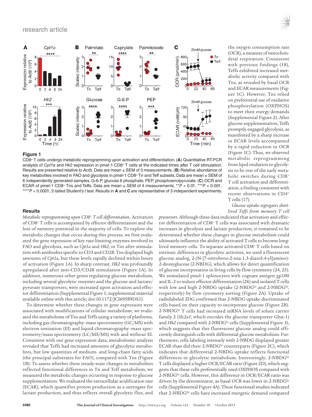

CD8+ T cells undergo metabolic reprogramming upon activation and differentiation. (**A**) Quantitative RT-PCR analysis of *Cpt1a* and *Hk2* expression in pmel-1 CD8+ T cells at the indicated times after T cell stimulation. Results are presented relative to *Actb*. Data are mean ± SEM of 3 measurements. (**B**) Relative abundance of key metabolites involved in FAO and glycolysis in pmel-1 CD8+ Tn and Teff subsets. Data are mean ± SEM of 6 independently generated samples. G-6-P, glucose 6 phosphate; PEP, phosphoenolpyruvate. (**C**) OCR and ECAR of pmel-1 CD8+ Tns and Teffs. Data are mean ± SEM of 4 measurements. \*\**P* < 0.01, \*\*\**P* < 0.001, \*\*\*\**P* < 0.0001, 2-tailed Student's *t* test. Results in **A** and **C** are representative of 3 independent experiments.

## **Results**

*Metabolic reprogramming upon CD8+ T cell differentiation*. Activation of CD8+ T cells is accompanied by effector differentiation and the loss of memory potential in the majority of cells. To explore the metabolic changes that occur during this process, we first evaluated the gene expression of key rate-limiting enzymes involved in FAO and glycolysis, such as *Cpt1a* and *Hk2*, in Tns after stimulation with antibodies specific to CD3 and CD28. Tns displayed high amounts of *Cpt1a*, but these levels rapidly declined within hours of activation (Figure 1A). In sharp contrast, *Hk2* was profoundly upregulated after anti-CD3/CD28 stimulation (Figure 1A). In addition, numerous other genes regulating glucose metabolism, including several glycolytic enzymes and the glucose and lactate/ pyruvate transporters, were increased upon activation and effector differentiation (Supplemental Figure 1; supplemental material available online with this article; doi:10.1172/JCI69589DS1).

To determine whether these changes in gene expression were associated with modifications of cellular metabolism, we evaluated the metabolome of Tns and Teffs using a variety of platforms, including gas chromatography–mass spectrometry (GC/MS) with electron ionization (EI) and liquid chromatography–mass spectrometry/mass spectrometry (LC/MS/MS) with and without EI. Consistent with our gene expression data, metabolomic analysis revealed that Teffs had increased amounts of glycolytic metabolites, but low quantities of medium- and long-chain fatty acids (the principal substrates for FAO), compared with Tns (Figure 1B). To assess whether these steady-state changes in metabolites reflected functional differences in Tn and Teff metabolism, we measured the metabolic changes occurring in response to glucose supplementation. We evaluated the extracellular acidification rate (ECAR), which quantifies proton production as a surrogate for lactate production, and thus reflects overall glycolytic flux, and

the oxygen consumption rate (OCR), a measure of mitochondrial respiration. Consistent with previous findings (18), Teffs exhibited increased metabolic activity compared with Tns, as revealed by basal OCR and ECAR measurements (Figure 1C). However, Tns relied on preferential use of oxidative phosphorylation (OXPHOS) to meet their energy demands (Supplemental Figure 2). After glucose supplementation, Teffs promptly engaged glycolysis, as manifested by a sharp increase in ECAR levels accompanied by a rapid reduction in OCR (Figure 1C). Thus, we observed metabolic reprogramming from lipid oxidation to glycolysis to be one of the early metabolic switches during CD8+ T cell activation and differentiation, a finding consistent with recent observations in CD4+ T cells (17).

*Glucose uptake segregates shortlived Teffs from memory T cell* 

*precursors*. Although these data indicated that activation and effector differentiation of CD8+ T cells was associated with dramatic increases in glycolysis and lactate production, it remained to be determined whether these changes in glucose metabolism could ultimately influence the ability of activated T cells to become longlived memory cells. To separate activated CD8+ T cells based on intrinsic differences in glycolytic activities, we used a fluorescent glucose analog, 2-(N-[7-nitrobenz-2-oxa-1,3-diazol-4-yl]amino)- 2-deoxyglucose (2-NBDG), which allows for direct quantification of glucose incorporation in living cells by flow cytometry (24, 25). We stimulated pmel-1 splenocytes with cognate antigen gp100 and IL-2 to induce effector differentiation (26) and isolated T cells with low and high 2-NBDG uptake (2-NBDG<sup>lo</sup> and 2-NBDG<sup>hi</sup>, respectively) by flow cytometry sorting (Figure 2A). Uptake of radiolabeled 2DG confirmed that 2-NBDG uptake discriminated cells based on their capacity to incorporate glucose (Figure 2B). 2-NBDGhi T cells had increased mRNA levels of solute carrier family 2 (*Slc2a1*; which encodes the glucose transporter Glut-1) and *Hk2* compared with 2-NBDG<sup>Io</sup> cells (Supplemental Figure 3), which suggests that this fluorescent glucose analog could efficiently distinguish cells with differential glucose metabolism. Furthermore, cells labeling intensely with 2-NBDG displayed greater ECAR than did their 2-NBDG<sup>lo</sup> counterparts (Figure 2C), which indicates that differential 2-NBDG uptake reflects functional differences in glycolytic metabolism. Interestingly, 2-NBDG<sup>lo</sup> T cells displayed a higher OCR/ECAR ratio (Figure 2D), which suggests that these cells preferentially used OXPHOS compared with 2-NBDGhi cells. However, this difference in OCR/ECAR ratio was driven by the denominator, as basal OCR was lower in 2-NBDG<sup>lo</sup> cells (Supplemental Figure 4A). These functional studies indicated that 2-NBDGhi cells have increased energetic demand compared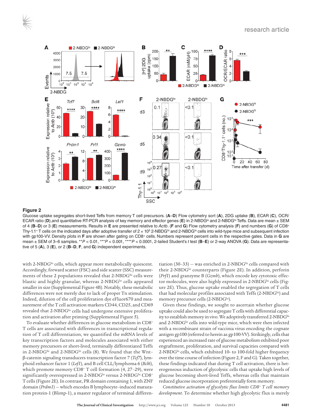

Glucose uptake segregates short-lived Teffs from memory T cell precursors. (**A**–**D**) Flow cytometry sort (**A**), 2DG uptake (**B**), ECAR (**C**), OCR/ ECAR ratio (D),and quantitative RT-PCR analysis of key memory and effector genes (E) in 2-NBDG<sup>lo</sup> and 2-NBDG<sup>hi</sup> Teffs. Data are mean ± SEM of 4 (**B**–**D**) or 3 (**E**) measurements. Results in **E** are presented relative to *Actb*. (**F** and **G**) Flow cytometry analysis (**F**) and numbers (**G**) of CD8+ Thy-1.1+ T cells on the indicated days after adoptive transfer of 2  $\times$  10<sup>5</sup> 2-NBDG<sup>hi</sup> and 2-NBDG<sup>Io</sup> cells into wild-type mice and subsequent infection with gp100-VV. Density plots in **F** are shown after gating on CD8+ cells. Numbers represent percent cells in the respective gates. Data in **G** are mean ± SEM of 3–6 samples. \*\**P* < 0.01, \*\*\**P* < 0.001, \*\*\*\**P* < 0.0001, 2-tailed Student's *t* test (**B**–**E**) or 2-way ANOVA (**G**). Data are representative of 5 (**A**), 3 (**E**), or 2 (**B**–**D**, **F**, and **G**) independent experiments.

with 2-NBDG<sup>lo</sup> cells, which appear more metabolically quiescent. Accordingly, forward scatter (FSC) and side scatter (SSC) measurements of these 2 populations revealed that 2-NBDGhi cells were blastic and highly granular, whereas 2-NBDG<sup>lo</sup> cells appeared smaller in size (Supplemental Figure 4B). Notably, these metabolic differences were not merely due to lack of proper Tn stimulation. Indeed, dilution of the cell proliferation dye eFluor670 and measurement of the T cell activation markers CD44, CD25, and CD69 revealed that 2-NBDG<sup>lo</sup> cells had undergone extensive proliferation and activation after priming (Supplemental Figure 5).

To evaluate whether differences in glucose metabolism in CD8+ T cells are associated with differences in transcriptional regulation of T cell differentiation, we quantified the mRNA levels of key transcription factors and molecules associated with either memory precursors or short-lived, terminally differentiated Teffs in 2-NBDGhi and 2-NBDGho cells (8). We found that the Wntβ-catenin signaling transducers transcription factor 7 (*Tcf7*), lymphoid enhancer factor 1 (*Lef1*), and B cell CLL/lymphoma 6 (*Bcl6*), which promote memory CD8+ T cell formation (4, 27–29), were significantly overexpressed in 2-NBDG<sup>lo</sup> versus 2-NBDG<sup>hi</sup> CD8<sup>+</sup> T cells (Figure 2E). In contrast, PR domain containing 1, with ZNF domain (*Prdm1*) — which encodes B lymphocyte–induced maturation protein-1 (Blimp-1), a master regulator of terminal differentiation  $(30-33)$  – was enriched in 2-NBDG<sup>hi</sup> cells compared with their 2-NBDG<sup>lo</sup> counterparts (Figure 2E). In addition, perforin (*Prf1*) and granzyme B (*Gzmb*), which encode key cytotoxic effector molecules, were also highly expressed in 2-NBDGhi cells (Figure 2E). Thus, glucose uptake enabled the segregation of T cells that had molecular profiles associated with Teffs (2-NBDGhi) and memory precursor cells (2-NBDG<sup>lo</sup>).

Given these findings, we sought to ascertain whether glucose uptake could also be used to segregate T cells with differential capacity to establish memory in vivo. We adoptively transferred 2-NBDGhi and 2-NBDG<sup>lo</sup> cells into wild-type mice, which were then infected with a recombinant strain of vaccinia virus encoding the cognate antigen gp100 (referred to herein as gp100-VV). Strikingly, cells that experienced an increased rate of glucose metabolism exhibited poor engraftment, proliferation, and survival capacities compared with 2-NBDG<sup>lo</sup> cells, which exhibited 10- to 100-fold higher frequency over the time course of infection (Figure 2, F and G). Taken together, these findings indicated that during T cell activation, there is heterogeneous induction of glycolysis: cells that uptake high levels of glucose becoming short-lived Teffs, whereas cells that maintain reduced glucose incorporation preferentially form memory.

*Constitutive activation of glycolytic flux limits CD8+ T cell memory development*. To determine whether high glycolytic flux is merely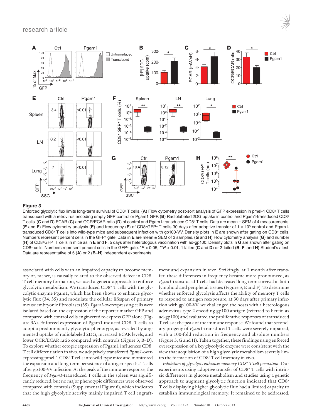

Enforced glycolytic flux limits long-term survival of CD8+ T cells. (**A**) Flow cytometry post-sort analysis of GFP expression in pmel-1 CD8+ T cells transduced with a retrovirus encoding empty GFP control or Pgam1 GFP. (**B**) Radiolabeled 2DG uptake in control and Pgam1-transduced CD8+ T cells. (**C** and **D**) ECAR (**C**) and OCR/ECAR ratio (**D**) of control and Pgam1-transduced CD8+ T cells. Data are mean ± SEM of 4 measurements. (**E** and **F**) Flow cytometry analysis (**E**) and frequency (**F**) of CD8+GFP+ T cells 30 days after adoptive transfer of 1 × 105 control and Pgam1 transduced CD8+ T cells into wild-type mice and subsequent infection with gp100-VV. Density plots in **E** are shown after gating on CD8+ cells. Numbers represent percent cells in the GFP+ gate. Data in **E** are mean ± SEM of 3 samples. (**G** and **H**) Flow cytometry analysis (**G**) and number (**H**) of CD8+GFP+ T cells in mice as in **E** and **F**, 5 days after heterologous vaccination with ad-gp100. Density plots in **G** are shown after gating on CD8+ cells. Numbers represent percent cells in the GFP+ gate. \**P* < 0.05, \*\**P* < 0.01, 1-tailed (**C** and **D**) or 2-tailed (**B**, **F**, and **H**) Student's *t* test. Data are representative of 5 (**A**) or 2 (**B**–**H**) independent experiments.

associated with cells with an impaired capacity to become memory or, rather, is causally related to the observed defect in CD8+ T cell memory formation, we used a genetic approach to enforce glycolytic metabolism. We transduced CD8+ T cells with the glycolytic enzyme Pgam1, which has been shown to enhance glycolytic flux (34, 35) and modulate the cellular lifespan of primary mouse embryonic fibroblasts (35). *Pgam1*-overexpressing cells were isolated based on the expression of the reporter marker GFP and compared with control cells engineered to express GFP alone (Figure 3A). Enforced expression of Pgam1 induced CD8+ T cells to adopt a predominantly glycolytic phenotype, as revealed by augmented uptake of radiolabeled 2DG, increased ECAR levels, and lower OCR/ECAR ratio compared with controls (Figure 3, B–D). To explore whether ectopic expression of Pgam1 influences CD8+ T cell differentiation in vivo, we adoptively transferred *Pgam1*-overexpressing pmel-1 CD8+ T cells into wild-type mice and monitored the expansion and long-term persistence of antigen-specific T cells after gp100-VV infection. At the peak of the immune response, the frequency of *Pgam1*-transduced T cells in the spleen was significantly reduced, but no major phenotypic differences were observed compared with controls (Supplemental Figure 6), which indicates that the high glycolytic activity mainly impaired T cell engraft-

ment and expansion in vivo. Strikingly, at 1 month after transfer, these differences in frequency became more pronounced, as *Pgam1*-transduced T cells had decreased long-term survival in both lymphoid and peripheral tissues (Figure 3, E and F). To determine whether enforced glycolysis affects the ability of memory T cells to respond to antigen reexposure, at 30 days after primary infection with gp100-VV, we challenged the hosts with a heterologous adenovirus type 2 encoding gp100 antigen (referred to herein as ad-gp100) and evaluated the proliferative responses of transduced T cells at the peak of the immune response. We found that secondary progeny of *Pgam1*-transduced T cells were severely impaired, with a 100-fold reduction in frequency and absolute numbers (Figure 3, G and H). Taken together, these findings using enforced overexpression of a key glycolytic enzyme were consistent with the view that acquisition of a high glycolytic metabolism severely limits the formation of CD8<sup>+</sup> T cell memory in vivo.

*Inhibition of glycolysis enhances memory CD8+ T cell formation*. Our experiments using adoptive transfer of CD8+ T cells with intrinsic differences in glucose metabolism and studies using a genetic approach to augment glycolytic function indicated that CD8+ T cells displaying higher glycolytic flux had a limited capacity to establish immunological memory. It remained to be addressed,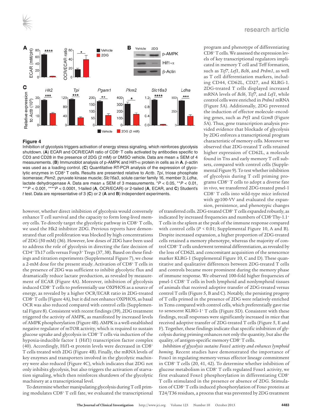



Inhibition of glycolysis triggers activation of energy stress signaling, which reinforces glycolysis shutdown. (**A**) ECAR and OCR/ECAR ratio of CD8+ T cells activated by antibodies specific to CD3 and CD28 in the presence of 2DG (2 mM) or DMSO vehicle. Data are mean ± SEM of 4 measurements. (**B**) Immunoblot analysis of p-AMPK and Hif1-α protein in cells as in **A**. β-actin was used as a loading control. (**C**) Quantitative RT-PCR analysis of the expression of glycolytic enzymes in CD8+ T cells. Results are presented relative to *Actb*. *Tpi*, triose phosphate isomerase; *Pkm2*, pyruvate kinase muscle; *Slc16a3*, solute carrier family 16, member 3; *Ldha*, lactate dehydrogenase A. Data are mean ± SEM of 3 measurements. \**P* < 0.05, \*\**P* < 0.01, \*\*\**P* < 0.001, \*\*\*\**P* < 0.0001, 1-tailed (**A**, OCR/ECAR) or 2-tailed (**A**, ECAR, and **C**) Student's *t* test. Data are representative of 3 (**C**) or 2 (**A** and **B**) independent experiments.

however, whether direct inhibition of glycolysis would conversely enhance T cell survival and the capacity to form long-lived memory cells. To directly target the glycolytic pathway in CD8+ T cells, we used the Hk2 inhibitor 2DG. Previous reports have demonstrated that cell proliferation was blocked by high concentrations of 2DG (50 mM) (36). However, low doses of 2DG have been used to address the role of glycolysis in directing the fate decision of CD4+ Th17 cells versus Foxp3+ Tregs (37, 38). Based on these findings and titration experiments (Supplemental Figure 7), we chose a 2-mM dose for the present study. Activation of CD8+ T cells in the presence of 2DG was sufficient to inhibit glycolytic flux and dramatically reduce lactate production, as revealed by measurement of ECAR (Figure 4A). Moreover, inhibition of glycolysis induced CD8+ T cells to preferentially use OXPHOS as a source of energy, as revealed by a higher OCR/ECAR ratio in 2DG-treated CD8+ T cells (Figure 4A), but it did not enhance OXPHOS, as basal OCR was also reduced compared with control cells (Supplemental Figure 8). Consistent with recent findings (39), 2DG treatment triggered the activity of AMPK, as manifested by increased levels of AMPK phosphorylation (Figure 4B). AMPK is a well-established negative regulator of mTOR activity, which is required to sustain glucose uptake and glycolysis in CD8+ T cells via induction of the hypoxia-inducible factor 1 (Hif1) transcription factor complex (40). Accordingly, Hif1- $\alpha$  protein levels were decreased in CD8<sup>+</sup> T cells treated with 2DG (Figure 4B). Finally, the mRNA levels of key enzymes and transporters involved in the glycolytic machinery were also reduced (Figure 4C), which indicates that 2DG not only inhibits glycolysis, but also triggers the activation of starvation signaling, which then reinforces shutdown of the glycolytic machinery at a transcriptional level.

To determine whether manipulating glycolysis during T cell priming modulates CD8+ T cell fate, we evaluated the transcriptional program and phenotype of differentiating CD8+ T cells. We assessed the expression levels of key transcriptional regulators implicated in memory T cell and Teff formation, such as *Tcf7*, *Lef1*, *Bcl6*, and *Prdm1*, as well as T cell differentiation markers, including CD44, CD62L, CD27, and KLRG-1. 2DG-treated T cells displayed increased mRNA levels of *Bcl6*, *Tcf7*, and *Lef1*, while control cells were enriched in *Prdm1* mRNA (Figure 5A). Additionally, 2DG prevented the induction of effector molecule–encoding genes, such as *Prf1* and *GzmB* (Figure 5A). Thus, gene transcription analysis provided evidence that blockade of glycolysis by 2DG enforces a transcriptional program characteristic of memory cells. Moreover we observed that 2DG-treated T cells retained higher expression of CD62L, a molecule found in Tns and early memory T cell subsets, compared with control cells (Supplemental Figure 9). To test whether inhibition of glycolysis during T cell priming programs CD8+ T cells to adopt a diverse fate in vivo, we transferred 2DG-treated pmel-1 CD8+ T cells into wild-type mice infected with gp100-VV and evaluated the expansion, persistence, and phenotypic changes

of transferred cells. 2DG-treated CD8+ T cells expanded robustly, as indicated by increased frequencies and numbers of CD8+Thy-1.1+ T cells in the spleen at the peak of the immune response compared with control cells (*P* < 0.01; Supplemental Figure 10, A and B). Despite increased expansion, a higher proportion of 2DG-treated cells retained a memory phenotype, whereas the majority of control CD8+ T cells underwent terminal differentiation, as revealed by the loss of CD62L and concomitant acquisition of the senescence marker KLRG-1 (Supplemental Figure 10, C and D). These quantitative and qualitative differences between 2DG-treated T cells and controls became more prominent during the memory phase of immune response. We observed 100-fold higher frequencies of pmel-1 CD8+ T cells in both lymphoid and nonlymphoid tissues of animals that received adoptive transfer of 2DG-treated versus control T cells (Figure 5, B and C). Notably, the persisting progeny of T cells primed in the presence of 2DG were relatively enriched in Tcms compared with control cells, which preferentially gave rise to senescent KLRG-1+ T cells (Figure 5D). Consistent with these findings, recall responses were significantly increased in mice that received adoptive transfer of 2DG-treated T cells (Figure 5, E and F). Together, these findings indicate that specific inhibition of glycolysis during priming enhances not only the quantity, but also the quality, of antigen-specific memory CD8+ T cells.

*Inhibition of glycolysis sustains Foxo1 activity and enhances lymphoid homing*. Recent studies have demonstrated the importance of Foxo1 in regulating memory versus effector lineage commitment in CD8+ T cells (20, 41, 42). To determine whether inhibition of glucose metabolism in CD8+ T cells regulated Foxo1 activity, we first evaluated Foxo1 phosphorylation in differentiating CD8+ T cells stimulated in the presence or absence of 2DG. Stimulation of CD8+ T cells induced phosphorylation of Foxo proteins at T24/T36 residues, a process that was prevented by 2DG treatment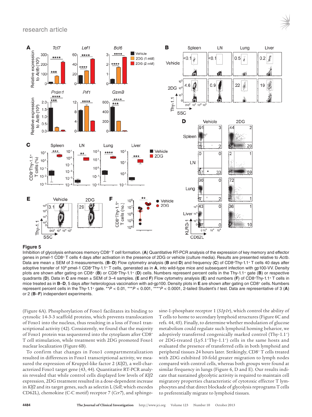## research article



## **Figure 5**

Inhibition of glycolysis enhances memory CD8+ T cell formation. (**A**) Quantitative RT-PCR analysis of the expression of key memory and effector genes in pmel-1 CD8+ T cells 4 days after activation in the presence of 2DG or vehicle (culture media). Results are presented relative to *Actb*. Data are mean ± SEM of 3 measurements. (**B**–**D**) Flow cytometry analysis (**B** and **D**) and frequency (**C**) of CD8+Thy-1.1+ T cells 40 days after adoptive transfer of 106 pmel-1 CD8+Thy-1.1+ T cells, generated as in **A**, into wild-type mice and subsequent infection with gp100-VV. Density plots are shown after gating on CD8+ (**B**) or CD8+Thy-1.1+ (**D**) cells. Numbers represent percent cells in the Thy-1.1+ gate (**B**) or respective quadrants (**D**). Data in **C** are mean ± SEM of 3–4 samples. (**E** and **F**) Flow cytometry analysis (**E**) and numbers (**F**) of CD8+Thy-1.1+ T cells in mice treated as in **B**–**D**, 5 days after heterologous vaccination with ad-gp100. Density plots in **E** are shown after gating on CD8+ cells. Numbers represent percent cells in the Thy-1.1+ gate. \*\**P* < 0.01, \*\*\**P* < 0.001, \*\*\*\**P* < 0.0001, 2-tailed Student's *t* test. Data are representative of 3 (**A**) or 2 (**B**–**F**) independent experiments.

(Figure 6A). Phosphorylation of Foxo1 facilitates its binding to cytosolic 14-3-3 scaffold proteins, which prevents translocation of Foxo1 into the nucleus, thus resulting in a loss of Foxo1 transcriptional activity (42). Consistently, we found that the majority of Foxo1 protein was sequestered into the cytoplasm after CD8+ T cell stimulation, while treatment with 2DG promoted Foxo1 nuclear localization (Figure 6B).

To confirm that changes in Foxo1 compartmentalization resulted in differences in Foxo1 transcriptional activity, we measured the expression of Kruppel-like factor 2 (*Klf2*), a well-characterized Foxo1 target gene (43, 44). Quantitative RT-PCR analysis revealed that while control cells displayed low levels of *Klf2* expression, 2DG treatment resulted in a dose-dependent increase in *Klf2* and its target genes, such as selectin L (*Sell*; which encodes CD62L), chemokine (C-C motif) receptor 7 (*Ccr7*), and sphingosine-1-phosphate receptor 1 (*S1p1r*), which control the ability of T cells to home to secondary lymphoid structures (Figure 6C and refs. 44, 45). Finally, to determine whether modulation of glucose metabolism could regulate such lymphoid homing behavior, we adoptively transferred congenically marked control (Thy-1.1+) or 2DG-treated (Ly5.1+Thy-1.1+) cells in the same hosts and evaluated the presence of transferred cells in both lymphoid and peripheral tissues 24 hours later. Strikingly, CD8+ T cells treated with 2DG exhibited 10-fold greater migration to lymph nodes compared with control cells, whereas both groups were found at similar frequency in lungs (Figure 6, D and E). Our results indicate that sustained glycolytic activity is required to maintain cell migratory properties characteristic of cytotoxic effector T lymphocytes and that direct blockade of glycolysis reprograms T cells to preferentially migrate to lymphoid tissues.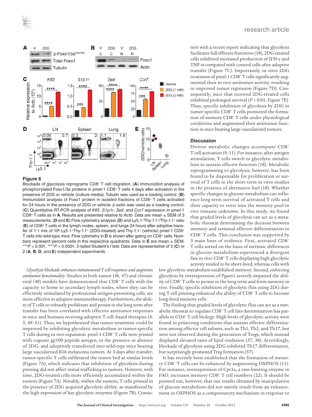



Blockade of glycolysis reprograms CD8+ T cell migration. (**A**) Immunoblot analysis of phosphorylated Foxo1/3a proteins in pmel-1 CD8+ T cells 4 days after activation in the presence of 2DG or vehicle (culture media). Tubulin was used as a loading control. (**B**) Immunoblot analysis of Foxo1 protein in isolated fractions of CD8+ T cells activated for 24 hours in the presence of 2DG or vehicle. β-actin was used as a loading control. (**C**) Quantitative RT-PCR analysis of *Klf2*, *S1p1r*, *Sell*, and *Ccr7* expression in pmel-1 CD8+ T cells as in **A**. Results are presented relative to *Actb*. Data are mean ± SEM of 3 measurements. (**D** and **E**) Flow cytometry analysis (**D**) and Ly5.1+Thy-1.1+/Thy-1.1+ ratio (**E**) of CD8+ T cells in the lymph nodes, spleen, and lungs 24 hours after adoptive transfer of 1:1 mix of 106 Ly5.1+Thy-1.1+ (2DG-treated) and Thy-1.1+ (vehicle) pmel-1 CD8+ T cells into wild-type mice. Flow cytometry in **D** is shown after gating on CD8+ cells. Numbers represent percent cells in the respective quadrants. Data in **E** are mean ± SEM. \*\*\**P* < 0.001, \*\*\*\**P* < 0.0001, 2-tailed Student's *t* test. Data are representative of 3 (**C**) or 2 (**A**, **B**, **D**, and **E**) independent experiments.

*Glycolysis blockade enhances intratumoral T cell responses and augments antitumor functionality*. Studies in both tumor (46, 47) and chronic viral (48) models have demonstrated that CD8+ T cells with the capacity to home to secondary lymph nodes, where they can be effectively stimulated by professional antigen-presenting cells, are more effective in adoptive immunotherapy. Furthermore, the ability of T cells to robustly proliferate and persist in the long term after transfer has been correlated with effective antitumor responses in mice and humans receiving adoptive T cell–based therapies (4, 5, 49–51). Thus, we hypothesized that tumor treatment could be improved by inhibiting glycolytic metabolism in tumor-specific T cells during ex vivo expansion. pmel-1 CD8+ T cells were primed with cognate gp100 peptide antigen, in the presence or absence of 2DG, and adoptively transferred into wild-type mice bearing large vascularized B16 melanoma tumors. At 3 days after transfer, tumor-specific T cells infiltrated the tumor bed at similar levels (Figure 7A), which indicates that inhibition of glycolysis during priming did not affect initial trafficking to tumors. However, with time, 2DG-treated cells more efficiently accumulated within the tumors (Figure 7A). Notably, within the tumors, T cells primed in the presence of 2DG acquired glycolytic ability, as manifested by the high expression of key glycolytic enzymes (Figure 7B). Consistent with a recent report indicating that glycolysis facilitates full effector functions (18), 2DG-treated cells exhibited increased production of IFN-γ and TNF-α compared with control cells after adoptive transfer (Figure 7C). Importantly, in vitro 2DG treatment of pmel-1 CD8+ T cells significantly augmented their in vivo antitumor activity, resulting in improved tumor regression (Figure 7D). Consequently, mice that received 2DG-treated cells exhibited prolonged survival (*P* < 0.01; Figure 7E). Thus, specific inhibition of glycolysis by 2DG in tumor-specific CD8+ T cells promoted the formation of memory CD8+ T cells under physiological conditions and augmented their antitumor function in mice bearing large vascularized tumors.

## **Discussion**

Diverse metabolic changes accompany CD8+ T cell activation (9, 11). For instance, after antigen stimulation, T cells switch to glycolytic metabolism to sustain effector function (18). Metabolic reprogramming to glycolysis, however, has been found to be dispensable for proliferation or survival of T cells in the short term in vitro studies in the presence of alternative fuel (18). Whether specific changes in glucose metabolism can influence long-term survival of activated T cells and their capacity to enter into the memory pool in vivo remains unknown. In this study, we found that graded levels of glycolysis can act as a metabolic rheostat determining the decision between memory and terminal effector differentiation in CD8+ T cells. This conclusion was supported by 3 main lines of evidence. First, activated CD8+ T cells sorted on the basis of intrinsic differences in glucose metabolism experienced a divergent fate in vivo: CD8+ T cells displaying high glycolytic activity tended to be short-lived, whereas cells with

low glycolytic metabolism established memory. Second, enforcing glycolysis by overexpression of Pgam1 severely impaired the ability of CD8+ T cells to persist in the long term and form memory in vivo. Finally, specific inhibition of glycolytic flux using 2DG during T cell priming enhanced the ability of CD8+ T cells to become long-lived memory cells.

The finding that graded levels of glycolytic flux can act as a metabolic rheostat to regulate CD8+ T cell fate determination has parallels in CD4+ T cell biology. High levels of glycolytic activity were found in polarizing conditions that sustain effector differentiation among effector cell subsets, such as Th1, Th2, and Th17, but were not observed during the generation of Tregs, which instead displayed elevated rates of lipid oxidation (37, 38). Accordingly, blockade of glycolysis using 2DG inhibited Th17 differentiation, but surprisingly promoted Treg formation (37).

It has recently been established that the formation of memory CD8+ T cells can be enhanced by augmenting OXPHOS (11). For instance, overexpression of Cpt1a, a rate-limiting enzyme in FAO, increases memory CD8+ T cell numbers (22). It should be pointed out, however, that our results obtained by manipulation of glucose metabolism did not merely result from an enhancement in OXPHOS as a compensatory mechanism in response to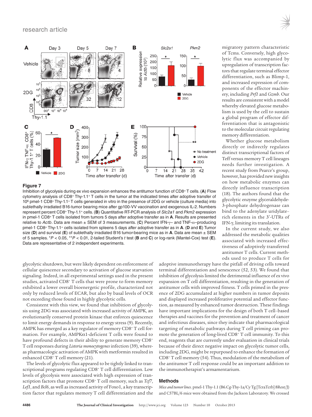## research article



## **Figure 7**

Inhibition of glycolysis during ex vivo expansion enhances the antitumor function of CD8+ T cells. (**A**) Flow cytometry analysis of CD8+ Thy-1.1+ T cells in the tumor at the indicated times after adoptive transfer of 106 pmel-1 CD8+ Thy-1.1+ T cells generated in vitro in the presence of 2DG or vehicle (culture media) into sublethally irradiated B16-tumor bearing mice after gp100-VV vaccination and exogenous IL-2. Numbers represent percent CD8+ Thy-1.1+ cells. (**B**) Quantitative RT-PCR analysis of *Slc2a1* and *Pkm2* expression in pmel-1 CD8+ T cells isolated from tumors 5 days after adoptive transfer as in **A**. Results are presented relative to *Actb*. Data are mean ± SEM of 3 measurements. (**C**) Percent IFN-γ– and TNF-α–producing pmel-1 CD8+ Thy-1.1+ cells isolated from spleens 5 days after adoptive transfer as in **A**. (**D** and **E**) Tumor size (**D**) and survival (**E**) of sublethally irradiated B16 tumor-bearing mice as in **A**. Data are mean ± SEM of 5 samples. \**P* < 0.05, \*\**P* < 0.01, 2-tailed Student's *t* test (**B** and **C**) or log-rank (Mantel-Cox) test (**E**). Data are representative of 2 independent experiments.

glycolytic shutdown, but were likely dependent on enforcement of cellular quiescence secondary to activation of glucose starvation signaling. Indeed, in all experimental settings used in the present studies, activated CD8+ T cells that were prone to form memory exhibited a lower overall bioenergetic profile, characterized not only by reduced levels of ECAR, but also by basal levels of OCR not exceeding those found in highly glycolytic cells.

Consistent with this view, we found that inhibition of glycolysis using 2DG was associated with increased activity of AMPK, an evolutionarily conserved protein kinase that enforces quiescence to limit energy demands in response to energy stress (9). Recently, AMPK has emerged as a key regulator of memory CD8+ T cell formation. For example, AMPKα1-deficient T cells were found to have profound defects in their ability to generate memory CD8<sup>+</sup> T cell responses during *Listeria monocytogenes* infection (39), whereas pharmacologic activation of AMPK with metformin resulted in enhanced CD8+ T cell memory (21).

The levels of glycolytic flux appeared to be tightly linked to transcriptional programs regulating CD8<sup>+</sup> T cell differentiation. Low levels of glycolysis were associated with high expression of transcription factors that promote CD8+ T cell memory, such as *Tcf7*, *Lef1*, and *Bcl6*, as well as increased activity of Foxo1, a key transcription factor that regulates memory T cell differentiation and the adoptive immunotherapy have the pitfall of driving cells toward terminal differentiation and senescence (52, 53). We found that inhibition of glycolysis limited the detrimental influence of ex vivo expansion on T cell differentiation, resulting in the generation of antitumor cells with improved fitness. T cells primed in the presence of 2DG accumulated at higher numbers in tumor deposits and displayed increased proliferative potential and effector function, as measured by enhanced tumor destruction. These findings have important implications for the design of both T cell–based therapies and vaccines for the prevention and treatment of cancer and infectious diseases, since they indicate that pharmacological targeting of metabolic pathways during T cell priming can promote the generation of long-lived CD8+ T cell immunity. To this end, reagents that are currently under evaluation in clinical trials because of their direct negative impact on glycolytic tumor cells, including 2DG, might be repurposed to enhance the formation of CD8+ T cell memory (54). Thus, modulation of the metabolism of the antitumor T cell response could be an important addition to the immunotherapist's armamentarium.

## **Methods**

*Mice and tumor lines*. pmel-1 Thy-1.1 (B6.Cg-Thy-1a/Cy Tg [TcraTcrb] 8Rest/J) and C57BL/6 mice were obtained from the Jackson Laboratory. We crossed

migratory pattern characteristic of Tcms. Conversely, high glycolytic flux was accompanied by upregulation of transcription factors that regulate terminal effector differentiation, such as Blimp-1, and increased expression of components of the effector machinery, including *Prf1* and *Gzmb*. Our results are consistent with a model whereby elevated glucose metabolism is used by the cell to sustain a global program of effector differentiation that is antagonistic to the molecular circuit regulating memory differentiation.

Whether glucose metabolism directly or indirectly regulates distinct transcriptional factors of Teff versus memory T cell lineages needs further investigation. A recent study from Pearce's group, however, has provided new insights on how metabolic enzymes can directly influence transcription (18). The authors found that the glycolytic enzyme glyceraldehyde-3-phosphate dehydrogenase can bind to the adenylate uridylate– rich elements in the 3′-UTRs of IFN-γ, limiting its translation.

In the current study, we also addressed the metabolic qualities associated with increased effectiveness of adoptively transferred antitumor T cells. Current methods used to produce T cells for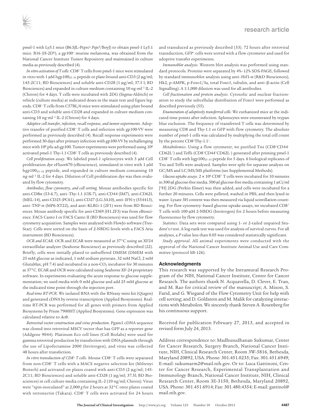pmel-1 with Ly5.1 mice (B6.SJL-Ptprc<sup>a</sup> Pepc<sup>b</sup>/BoyJ) to obtain pmel-1 Ly5.1 mice. B16 (H-2Db), a gp100<sup>+</sup> murine melanoma, was obtained from the National Cancer Institute Tumor Repository and maintained in culture media as previously described (4).

*In vitro activation of T cells*. CD8+ T cells from pmel-1 mice were stimulated in vitro with 1 μM hgp100<sub>25-33</sub> peptide or plate-bound anti-CD3 (2 μg/ml; 145-2C11; BD Biosciences) and soluble anti-CD28 (1 μg/ml; 37.5 l; BD Biosciences) and expanded in culture medium containing 10 ng·ml<sup>-1</sup> IL-2 (Chiron) for 4 days. T cells were incubated with 2DG (Sigma-Aldrich) or vehicle (culture media) at indicated doses in the main text and figure legends. CD8+ T cells from C57BL/6 mice were stimulated using plate bound anti-CD3 and soluble anti-CD28 and expanded in culture medium containing 10 ng·ml<sup>-1</sup> IL-2 (Chiron) for 4 days.

*Adoptive cell transfer, infection, recall response, and tumor experiments*. Adoptive transfer of purified CD8<sup>+</sup> T cells and infection with gp100-VV were performed as previously described (4). Recall response experiments were performed 30 days after primary infection with gp100-VV by rechallenging mice with 10<sup>8</sup> pfu ad-gp100. Tumor experiments were performed using 10<sup>6</sup> activated pmel-1 Thy-1.1 CD8+ T cells as previously described (4).

*Cell proliferation assay*. We labeled pmel-1 splenocytes with 5 μM Cell proliferation dye eFluor670 (eBioscience), stimulated in vitro with 1 μM hgp10025–33 peptide, and expanded in culture medium containing 10 ng•ml–1 IL-2 for 4 days. Dilution of Cell proliferation dye was then evaluated by flow cytometry.

*Antibodies, flow cytometry, and cell sorting*. Mouse antibodies specific for anti-CD8α (53-6.7), anti–Thy-1.1 (OX-7), anti-CD44 (IM7), anti-CD62L (MEL-14), anti-CD25 (PC61), anti-CD27 (LG.3A10), anti–IFN-γ (554413), anti–TNF-α (MP6-XT22), and anti–KLRG-1 (2F1) were from BD Biosciences. Mouse antibody specific for anti-CD69 (H1.2F3) was from eBioscience. FACS Canto I or FACS Canto II (BD Biosciences) was used for flow cytometry acquisition. Samples were analyzed with FlowJo software (Tree-Star). Cells were sorted on the basis of 2-NBDG levels with a FACS Aria instrument (BD Biosciences).

*OCR and ECAR*. OCR and ECAR were measured at 37°C using an XF24 extracellular analyzer (Seahorse Bioscience) as previously described (22). Briefly, cells were initially plated to unbuffered DMEM (DMEM with 25 mM glucose as indicated, 1 mM sodium pyruvate, 32 mM NaCl, 2 mM GlutaMax, pH 7.4) and incubated in a non- $CO<sub>2</sub>$  incubator for 30 minutes at 37°C. ECAR and OCR were calculated using Seahorse XF-24 proprietary software. In experiments evaluating the acute response to glucose supplementation, we used media with 0 mM glucose and add 25 mM glucose at the indicated time point through the injection port.

*Real-time RT-PCR*. We isolated RNA with the RNeasy mini kit (Qiagen) and generated cDNA by reverse transcription (Applied Biosystems). Realtime RT-PCR was performed for all genes with primers from Applied Biosystems by Prism 7900HT (Applied Biosystems). Gene expression was calculated relative to *Actb*.

*Retroviral vector construction and virus production*. Pgam1 cDNA sequence was cloned into retroviral MSCV vector that has GFP as a reporter gene (Addgene 9044). Platinum Eco cell lines (Cell Biolabs) were used for gamma retroviral production by transfection with DNA plasmids through the use of Lipofectamine 2000 (Invitrogen), and virus was collected 48 hours after transfection.

*In vitro transduction of CD8+ T cells*. Mouse CD8+ T cells were separated from non-CD8+ T cells with a MACS negative selection kit (Miltenyi Biotech) and activated on plates coated with anti-CD3 (2 μg/ml; 145- 2C11; BD Biosciences) and soluble anti-CD28 (1 μg/ml; 37.5l; BD Biosciences) in cell culture media containing IL-2 (10 ng/ml; Chiron). Virus were "spin-inoculated" at 2,000 *g* for 2 hours at 32°C onto plates coated with retronectin (Takara). CD8<sup>+</sup> T cells were activated for 24 hours

and transduced as previously described (33). 72 hours after retroviral transduction, GFP<sup>+</sup> cells were sorted with a flow cytometer and used for adoptive transfer experiments.

*Immunoblot analysis*. Western blot analysis was performed using standard protocols. Proteins were separated by 4%–12% SDS-PAGE, followed by standard immunoblot analysis using anti–Hif1-α (R&D Biosciences), Hk2, p-AMPK, p-Foxo1/3a, total Foxo1, tubulin, and anti–β-actin (Cell Signalling). A 1:1,000 dilution was used for all antibodies.

*Cell fractionation and protein analysis*. Cytosolic and nuclear fractionation to study the subcellular distribution of Foxo1 were performed as described previously (55).

*Enumeration of adoptively transferred cells*. We euthanized mice at the indicated time points after infection. Splenocytes were enumerated by trypan blue exclusion. The frequency of transferred T cells was determined by measuring CD8 and Thy-1.1 or GFP with flow cytometry. The absolute number of pmel-1 cells was calculated by multiplying the total cell count by the percent CD8+Thy-1.1+.

*Metabolomics*. Using a flow cytometer, we purified Tns (CD8+CD44– CD62L+) and Teffs (CD8+CD44+CD62L–) generated after priming pmel-1 CD8+ T cells with hgp10025–33 peptide for 5 days. 6 biological replicates of Tns and Teffs were analyzed. Samples were split for separate analysis on GC/MS and LC/MS/MS platforms (see Supplemental Methods).

*Glucose uptake assays.*  $2 \times 10^6$  CD8<sup>+</sup> T cells were incubated for 10 minutes in 500 μl glucose-free media. 500 μl glucose-free media containing 1 μCi/ml [<sup>3</sup>H] 2DG (Perkin Elmer) was then added, and cells were incubated for a further 20 minutes. Cells were pelleted, washed in PBS, and then lysed in water. Lysate 3H content was then measured via liquid scintillation counting. For flow cytometry–based glucose uptake assays, we incubated CD8<sup>+</sup> T cells with 100 μM 2-NBDG (Invitrogen) for 2 hours before measuring fluorescence by flow cytometry.

*Statistics*. Data sets were compared using 1- or 2-tailed unpaired Student's *t* test. A log-rank test was used for analysis of survival curves. For all analyses, a *P* value less than 0.05 was considered statistically significant.

*Study approval*. All animal experiments were conducted with the approval of the National Cancer Institute Animal Use and Care Committee (protocol SB-126).

## **Acknowledgments**

This research was supported by the Intramural Research Program of the NIH, National Cancer Institute, Center for Cancer Research. The authors thank N. Acquavella, D. Clever, E. Tran, and M. Rao for critical review of the manuscript; A. Mixon, S. Farid, and G. Wiegand of the Flow Cytometry Unit for help with cell sorting; and D. Goldstein and M. Malik for catalyzing interactions with Metabolon. We sincerely thank Steven A. Rosenberg for his continuous support.

Received for publication February 27, 2013, and accepted in revised form July 24, 2013.

Address correspondence to: Madhusudhanan Sukumar, Center for Cancer Research, Surgery Branch, National Cancer Institute, NIH, Clinical Research Center, Room 3W-5816, Bethesda, Maryland 20892, USA. Phone: 301.451.0235; Fax: 301.451.6949; E-mail: sukumarm2@mail.nih.gov. Or to: Luca Gattinoni, Center for Cancer Research, Experimental Transplantation and Immunology Branch, National Cancer Institute, NIH, Clinical Research Center, Room 3E-3150, Bethesda, Maryland 20892, USA. Phone: 301.451.6914; Fax: 301.480.4354; E-mail: gattinol@ mail.nih.gov.